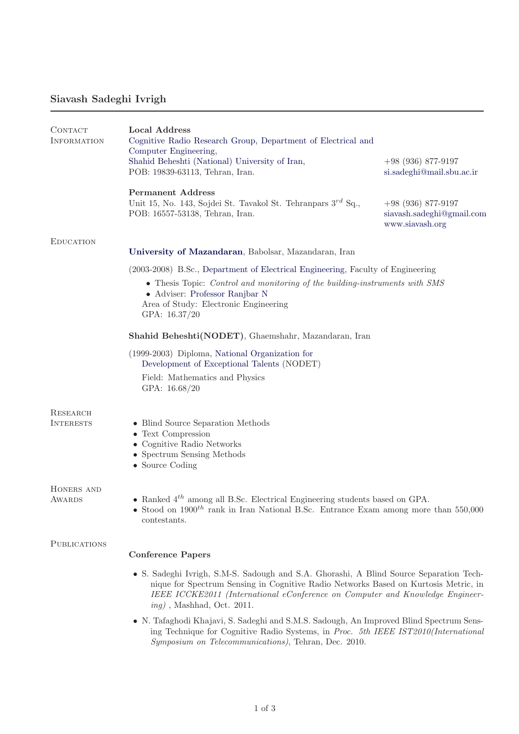## Siavash Sadeghi Ivrigh

| CONTACT<br><b>INFORMATION</b> | <b>Local Address</b><br>Cognitive Radio Research Group, Department of Electrical and<br>Computer Engineering,                                                                                                                                                                                  |                                                                      |  |
|-------------------------------|------------------------------------------------------------------------------------------------------------------------------------------------------------------------------------------------------------------------------------------------------------------------------------------------|----------------------------------------------------------------------|--|
|                               | Shahid Beheshti (National) University of Iran,<br>POB: 19839-63113, Tehran, Iran.                                                                                                                                                                                                              | $+98$ (936) 877-9197<br>si.sadeghi@mail.sbu.ac.ir                    |  |
|                               | <b>Permanent Address</b><br>Unit 15, No. 143, Sojdei St. Tavakol St. Tehranpars $3^{rd}$ Sq.,<br>POB: 16557-53138, Tehran, Iran.                                                                                                                                                               | $+98$ (936) 877-9197<br>siavash.sadeghi@gmail.com<br>www.siavash.org |  |
| <b>EDUCATION</b>              | University of Mazandaran, Babolsar, Mazandaran, Iran                                                                                                                                                                                                                                           |                                                                      |  |
|                               | (2003-2008) B.Sc., Department of Electrical Engineering, Faculty of Engineering                                                                                                                                                                                                                |                                                                      |  |
|                               | • Thesis Topic: Control and monitoring of the building-instruments with SMS<br>• Adviser: Professor Ranjbar N<br>Area of Study: Electronic Engineering<br>GPA: 16.37/20                                                                                                                        |                                                                      |  |
|                               | Shahid Beheshti(NODET), Ghaemshahr, Mazandaran, Iran                                                                                                                                                                                                                                           |                                                                      |  |
|                               | (1999-2003) Diploma, National Organization for<br>Development of Exceptional Talents (NODET)                                                                                                                                                                                                   |                                                                      |  |
|                               | Field: Mathematics and Physics<br>GPA: 16.68/20                                                                                                                                                                                                                                                |                                                                      |  |
| RESEARCH<br><b>INTERESTS</b>  | • Blind Source Separation Methods                                                                                                                                                                                                                                                              |                                                                      |  |
|                               | • Text Compression                                                                                                                                                                                                                                                                             |                                                                      |  |
|                               | • Cognitive Radio Networks<br>• Spectrum Sensing Methods                                                                                                                                                                                                                                       |                                                                      |  |
|                               | $\bullet$ Source Coding                                                                                                                                                                                                                                                                        |                                                                      |  |
| HONERS AND                    |                                                                                                                                                                                                                                                                                                |                                                                      |  |
| <b>AWARDS</b>                 | • Ranked $4^{th}$ among all B.Sc. Electrical Engineering students based on GPA.<br>• Stood on $1900^{th}$ rank in Iran National B.Sc. Entrance Exam among more than 550,000<br>contestants.                                                                                                    |                                                                      |  |
| PUBLICATIONS                  |                                                                                                                                                                                                                                                                                                |                                                                      |  |
|                               | <b>Conference Papers</b>                                                                                                                                                                                                                                                                       |                                                                      |  |
|                               | • S. Sadeghi Ivrigh, S.M-S. Sadough and S.A. Ghorashi, A Blind Source Separation Tech-<br>nique for Spectrum Sensing in Cognitive Radio Networks Based on Kurtosis Metric, in<br>IEEE ICCKE2011 (International eConference on Computer and Knowledge Engineer-<br>$ing)$ , Mashhad, Oct. 2011. |                                                                      |  |
|                               | • N. Tafaghodi Khajavi, S. Sadeghi and S.M.S. Sadough, An Improved Blind Spectrum Sens-                                                                                                                                                                                                        |                                                                      |  |

ing Technique for Cognitive Radio Systems, in Proc. 5th IEEE IST2010(International Symposium on Telecommunications), Tehran, Dec. 2010.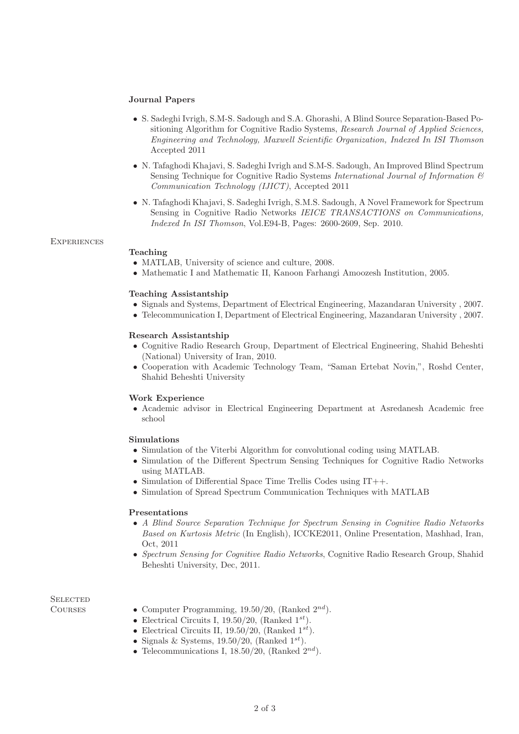#### Journal Papers

- S. Sadeghi Ivrigh, S.M-S. Sadough and S.A. Ghorashi, A Blind Source Separation-Based Positioning Algorithm for Cognitive Radio Systems, Research Journal of Applied Sciences, Engineering and Technology, Maxwell Scientific Organization, Indexed In ISI Thomson Accepted 2011
- N. Tafaghodi Khajavi, S. Sadeghi Ivrigh and S.M-S. Sadough, An Improved Blind Spectrum Sensing Technique for Cognitive Radio Systems International Journal of Information  $\mathcal{B}$ Communication Technology (IJICT), Accepted 2011
- N. Tafaghodi Khajavi, S. Sadeghi Ivrigh, S.M.S. Sadough, A Novel Framework for Spectrum Sensing in Cognitive Radio Networks *IEICE TRANSACTIONS* on *Communications*, Indexed In ISI Thomson, Vol.E94-B, Pages: 2600-2609, Sep. 2010.

#### **EXPERIENCES**

### Teaching

- MATLAB, University of science and culture, 2008.
- Mathematic I and Mathematic II, Kanoon Farhangi Amoozesh Institution, 2005.

#### Teaching Assistantship

- Signals and Systems, Department of Electrical Engineering, Mazandaran University , 2007.
- Telecommunication I, Department of Electrical Engineering, Mazandaran University , 2007.

#### Research Assistantship

- Cognitive Radio Research Group, Department of Electrical Engineering, Shahid Beheshti (National) University of Iran, 2010.
- Cooperation with Academic Technology Team, "Saman Ertebat Novin,", Roshd Center, Shahid Beheshti University

#### Work Experience

• Academic advisor in Electrical Engineering Department at Asredanesh Academic free school

#### Simulations

- Simulation of the Viterbi Algorithm for convolutional coding using MATLAB.
- Simulation of the Different Spectrum Sensing Techniques for Cognitive Radio Networks using MATLAB.
- Simulation of Differential Space Time Trellis Codes using IT++.
- Simulation of Spread Spectrum Communication Techniques with MATLAB

#### Presentations

- A Blind Source Separation Technique for Spectrum Sensing in Cognitive Radio Networks Based on Kurtosis Metric (In English), ICCKE2011, Online Presentation, Mashhad, Iran, Oct, 2011
- Spectrum Sensing for Cognitive Radio Networks, Cognitive Radio Research Group, Shahid Beheshti University, Dec, 2011.

# **SELECTED**

- COURSES Computer Programming,  $19.50/20$ , (Ranked  $2^{nd}$ ).
	- Electrical Circuits I, 19.50/20, (Ranked  $1^{st}$ ).
	- Electrical Circuits II, 19.50/20, (Ranked  $1^{st}$ ).
	- Signals & Systems, 19.50/20, (Ranked  $1^{st}$ ).
	- Telecommunications I, 18.50/20, (Ranked  $2^{nd}$ ).